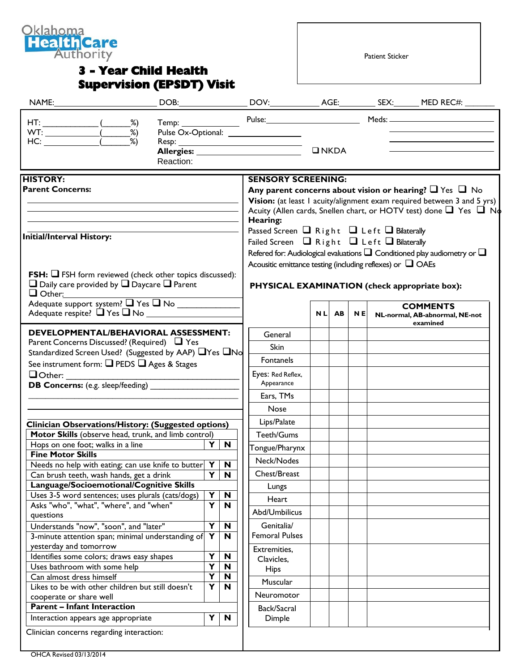

## **3 - Year Child Health Supervision (EPSDT) Visit**

Patient Sticker

| NAME:                                                                                                                                                                                                                                                                                                                                                                                                                                                                         |  |                                                    |                                                                                    |                                                                                                                                                                                                                                                                                                                                                                       |  |  |  |  |                                 |
|-------------------------------------------------------------------------------------------------------------------------------------------------------------------------------------------------------------------------------------------------------------------------------------------------------------------------------------------------------------------------------------------------------------------------------------------------------------------------------|--|----------------------------------------------------|------------------------------------------------------------------------------------|-----------------------------------------------------------------------------------------------------------------------------------------------------------------------------------------------------------------------------------------------------------------------------------------------------------------------------------------------------------------------|--|--|--|--|---------------------------------|
| $HT:$ (2%)<br>WT: $\frac{\overline{\phantom{a}}}{\text{HC:}}$ $\frac{\overline{\phantom{a}}}{\phantom{a}}$ $\frac{\phantom{a}}{\phantom{a}}$ $\frac{\phantom{a}}{\phantom{a}}$ $\frac{\phantom{a}}{\phantom{a}}$ $\frac{\phantom{a}}{\phantom{a}}$ $\frac{\phantom{a}}{\phantom{a}}$ $\frac{\phantom{a}}{\phantom{a}}$ $\frac{\phantom{a}}{\phantom{a}}$ $\frac{\phantom{a}}{\phantom{a}}$ $\frac{\phantom{a}}{\phantom{a}}$ $\frac{\phantom{a}}{\phantom{a}}$ $\frac{\phant$ |  | Pulse Ox-Optional: __________________              |                                                                                    |                                                                                                                                                                                                                                                                                                                                                                       |  |  |  |  | Temp: Pulse: Pulse: Meds: Meds: |
|                                                                                                                                                                                                                                                                                                                                                                                                                                                                               |  | Allergies: __________________________<br>Reaction: |                                                                                    |                                                                                                                                                                                                                                                                                                                                                                       |  |  |  |  |                                 |
| <b>HISTORY:</b><br><b>Parent Concerns:</b>                                                                                                                                                                                                                                                                                                                                                                                                                                    |  |                                                    |                                                                                    | <b>SENSORY SCREENING:</b><br>Any parent concerns about vision or hearing? $\Box$ Yes $\Box$ No<br>Vision: (at least 1 acuity/alignment exam required between 3 and 5 yrs)<br>Acuity (Allen cards, Snellen chart, or HOTV test) done ■ Yes ■ No<br>Hearing:<br>Passed Screen $\Box$ Right $\Box$ Left $\Box$ Bilaterally                                               |  |  |  |  |                                 |
| <b>Initial/Interval History:</b><br><b>FSH:</b> $\Box$ FSH form reviewed (check other topics discussed):<br>$\Box$ Daily care provided by $\Box$ Daycare $\Box$ Parent<br>$\Box$ Other:<br>Adequate support system? T Yes T No                                                                                                                                                                                                                                                |  |                                                    |                                                                                    | Failed Screen $\Box$ Right $\Box$ Left $\Box$ Bilaterally<br>Refered for: Audiological evaluations $\square$ Conditioned play audiometry or $\square$<br>Acousitic emittance testing (including reflexes) or $\Box$ OAEs<br>PHYSICAL EXAMINATION (check appropriate box):<br><b>COMMENTS</b><br><b>NL</b><br><b>AB</b><br><b>NE</b><br>NL-normal, AB-abnormal, NE-not |  |  |  |  |                                 |
| <b>DEVELOPMENTAL/BEHAVIORAL ASSESSMENT:</b><br>Parent Concerns Discussed? (Required) □ Yes<br>Standardized Screen Used? (Suggested by AAP) ■ Yes ■ No<br>See instrument form: $\Box$ PEDS $\Box$ Ages & Stages                                                                                                                                                                                                                                                                |  |                                                    |                                                                                    | General<br><b>Skin</b><br>Fontanels                                                                                                                                                                                                                                                                                                                                   |  |  |  |  | examined                        |
| $\Box$ Other:<br>DB Concerns: (e.g. sleep/feeding) ______________                                                                                                                                                                                                                                                                                                                                                                                                             |  |                                                    |                                                                                    | Eyes: Red Reflex,<br>Appearance<br>Ears, TMs<br>Nose                                                                                                                                                                                                                                                                                                                  |  |  |  |  |                                 |
| Clinician Observations/History: (Suggested options)<br>Motor Skills (observe head, trunk, and limb control)<br>Hops on one foot; walks in a line<br>$Y \mid$<br>N<br><b>Fine Motor Skills</b><br>Needs no help with eating; can use knife to butter $Y \mid N$<br>Y<br>$\mathbf N$<br>Can brush teeth, wash hands, get a drink                                                                                                                                                |  |                                                    |                                                                                    | Lips/Palate<br>Teeth/Gums<br>Tongue/Pharynx<br>Neck/Nodes<br>Chest/Breast                                                                                                                                                                                                                                                                                             |  |  |  |  |                                 |
| Language/Socioemotional/Cognitive Skills<br>Uses 3-5 word sentences; uses plurals (cats/dogs)<br>Asks "who", "what", "where", and "when"<br>questions<br>Understands "now", "soon", and "later"                                                                                                                                                                                                                                                                               |  |                                                    | Y<br>$\boldsymbol{\mathsf{N}}$<br>$\overline{\mathbf{Y}}$<br>N<br>Y<br>$\mathbf N$ | Lungs<br>Heart<br>Abd/Umbilicus<br>Genitalia/                                                                                                                                                                                                                                                                                                                         |  |  |  |  |                                 |
| 3-minute attention span; minimal understanding of<br>yesterday and tomorrow<br>Identifies some colors; draws easy shapes<br>Uses bathroom with some help<br>Can almost dress himself<br>Likes to be with other children but still doesn't                                                                                                                                                                                                                                     |  |                                                    | Y<br>N<br>Y<br>N<br>Y<br>N<br>Y<br>N<br>Y<br>N                                     | <b>Femoral Pulses</b><br>Extremities,<br>Clavicles,<br><b>Hips</b><br>Muscular                                                                                                                                                                                                                                                                                        |  |  |  |  |                                 |
| cooperate or share well<br><b>Parent - Infant Interaction</b><br>Interaction appears age appropriate                                                                                                                                                                                                                                                                                                                                                                          |  |                                                    | Y<br>$\mathbf N$                                                                   | <b>Neuromotor</b><br>Back/Sacral<br>Dimple                                                                                                                                                                                                                                                                                                                            |  |  |  |  |                                 |